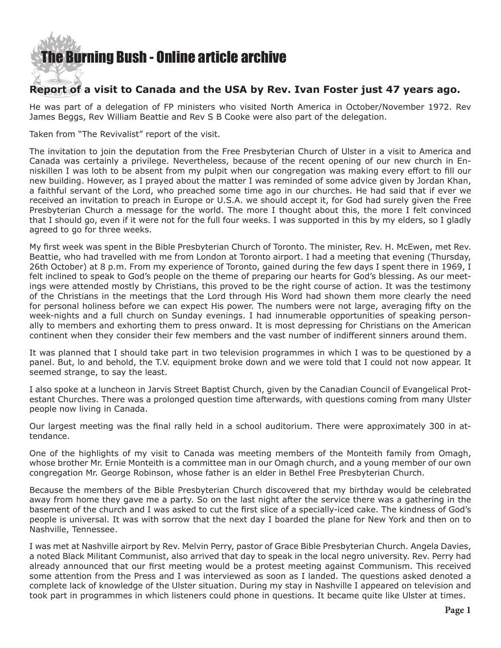## [The Burning Bush - Online article archive](http://www.ivanfoster.net)

## **Report of a visit to Canada and the USA by Rev. Ivan Foster just 47 years ago.**

He was part of a delegation of FP ministers who visited North America in October/November 1972. Rev James Beggs, Rev William Beattie and Rev S B Cooke were also part of the delegation.

Taken from "The Revivalist" report of the visit.

The invitation to join the deputation from the Free Presbyterian Church of Ulster in a visit to America and Canada was certainly a privilege. Nevertheless, because of the recent opening of our new church in Enniskillen I was loth to be absent from my pulpit when our congregation was making every effort to fill our new building. However, as I prayed about the matter I was reminded of some advice given by Jordan Khan, a faithful servant of the Lord, who preached some time ago in our churches. He had said that if ever we received an invitation to preach in Europe or U.S.A. we should accept it, for God had surely given the Free Presbyterian Church a message for the world. The more I thought about this, the more I felt convinced that I should go, even if it were not for the full four weeks. I was supported in this by my elders, so I gladly agreed to go for three weeks.

My first week was spent in the Bible Presbyterian Church of Toronto. The minister, Rev. H. McEwen, met Rev. Beattie, who had travelled with me from London at Toronto airport. I had a meeting that evening (Thursday, 26th October) at 8 p.m. From my experience of Toronto, gained during the few days I spent there in 1969, I felt inclined to speak to God's people on the theme of preparing our hearts for God's blessing. As our meetings were attended mostly by Christians, this proved to be the right course of action. It was the testimony of the Christians in the meetings that the Lord through His Word had shown them more clearly the need for personal holiness before we can expect His power. The numbers were not large, averaging fifty on the week-nights and a full church on Sunday evenings. I had innumerable opportunities of speaking personally to members and exhorting them to press onward. It is most depressing for Christians on the American continent when they consider their few members and the vast number of indifferent sinners around them.

It was planned that I should take part in two television programmes in which I was to be questioned by a panel. But, lo and behold, the T.V. equipment broke down and we were told that I could not now appear. It seemed strange, to say the least.

I also spoke at a luncheon in Jarvis Street Baptist Church, given by the Canadian Council of Evangelical Protestant Churches. There was a prolonged question time afterwards, with questions coming from many Ulster people now living in Canada.

Our largest meeting was the final rally held in a school auditorium. There were approximately 300 in attendance.

One of the highlights of my visit to Canada was meeting members of the Monteith family from Omagh, whose brother Mr. Ernie Monteith is a committee man in our Omagh church, and a young member of our own congregation Mr. George Robinson, whose father is an elder in Bethel Free Presbyterian Church.

Because the members of the Bible Presbyterian Church discovered that my birthday would be celebrated away from home they gave me a party. So on the last night after the service there was a gathering in the basement of the church and I was asked to cut the first slice of a specially-iced cake. The kindness of God's people is universal. It was with sorrow that the next day I boarded the plane for New York and then on to Nashville, Tennessee.

I was met at Nashville airport by Rev. Melvin Perry, pastor of Grace Bible Presbyterian Church. Angela Davies, a noted Black Militant Communist, also arrived that day to speak in the local negro university. Rev. Perry had already announced that our first meeting would be a protest meeting against Communism. This received some attention from the Press and I was interviewed as soon as I landed. The questions asked denoted a complete lack of knowledge of the Ulster situation. During my stay in Nashville I appeared on television and took part in programmes in which listeners could phone in questions. It became quite like Ulster at times.